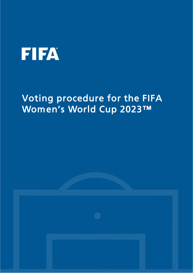## **FIFA**

## Voting procedure for the FIFA Women's World Cup 2023™

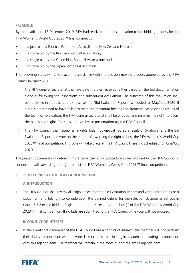## **PREAMBLE**

By the deadline of 13 December 2019, FIFA had received four bids in relation to the bidding process for the FIFA Women's World Cup 2023™ final competition:

- a joint bid by Football Federation Australia and New Zealand Football;
- a single bid by the Brazilian Football Association;
- a single bid by the Colombian Football Association; and
- a single bid by the Japan Football Association.

The following steps will take place in accordance with the decision-making process approved by the FIFA Council in March 2019:

- (i) The FIFA general secretariat shall evaluate the bids received (either based on the bid documentation alone or following site inspections and subsequent evaluation). The outcome of this evaluation shall be published in a public report known as the "Bid Evaluation Report" scheduled for May/June 2020. If a bid is determined to have failed to meet the minimum hosting requirements based on the results of the technical evaluation, the FIFA general secretariat shall be entitled, and reserves the right, to deem the bid as not eligible for consideration by, or presentation to, the FIFA Council.
- (ii) The FIFA Council shall review all eligible bids (not disqualified as a result of (i) above) and the Bid Evaluation Report and vote on the matter of awarding the right to host the FIFA Women's World Cup 2023™ final competition. This vote will take place at the FIFA Council meeting scheduled for June/July 2020.

The present document will define in more detail the voting procedure to be followed by the FIFA Council in connection with awarding the right to host the FIFA Women's World Cup 2023™ final competition.

**I. PROCEEDINGS AT THE FIFA COUNCIL MEETING**

**A. INTRODUCTION**

1. The FIFA Council shall review all eligible bids and the Bid Evaluation Report and vote, based on its best judgement and taking into consideration the defined criteria for the selection decision as set out in clause 3.3.2 of the Bidding Registration, on the selection of the host(s) of the FIFA Women's World Cup 2023™ final competition. If no bids are submitted to the FIFA Council, the vote will not proceed.

## **B. CONFLICT OF INTEREST**

2. In the event that a member of the FIFA Council has a conflict of interest, the member will not perform their duties in connection with the vote. This includes participating in any debate or voting in connection with this agenda item. The member will remain in the room during the entire agenda item.

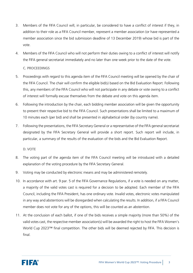- 3. Members of the FIFA Council will, in particular, be considered to have a conflict of interest if they, in addition to their role as a FIFA Council member, represent a member association (or have represented a member association since the bid submission deadline of 13 December 2019) whose bid is part of the vote.
- 4. Members of the FIFA Council who will not perform their duties owing to a conflict of interest will notify the FIFA general secretariat immediately and no later than one week prior to the date of the vote.

**C. PROCEEDINGS**

- 5. Proceedings with regard to this agenda item of the FIFA Council meeting will be opened by the chair of the FIFA Council. The chair will confirm the eligible bid(s) based on the Bid Evaluation Report. Following this, any members of the FIFA Council who will not participate in any debate or vote owing to a conflict of interest will formally excuse themselves from the debate and vote on this agenda item.
- 6. Following the introduction by the chair, each bidding member association will be given the opportunity to present their respective bid to the FIFA Council. Such presentations shall be limited to a maximum of 10 minutes each (per bid) and shall be presented in alphabetical order (by country name).
- 7. Following the presentations, the FIFA Secretary General or a representative of the FIFA general secretariat designated by the FIFA Secretary General will provide a short report. Such report will include, in particular, a summary of the results of the evaluation of the bids and the Bid Evaluation Report.

**D. VOTE**

- 8. The voting part of the agenda item of the FIFA Council meeting will be introduced with a detailed explanation of the voting procedure by the FIFA Secretary General.
- 9. Voting may be conducted by electronic means and may be administered remotely.
- 10. In accordance with art. 9 par. 5 of the FIFA Governance Regulations, if a vote is needed on any matter, a majority of the valid votes cast is required for a decision to be adopted. Each member of the FIFA Council, including the FIFA President, has one ordinary vote. Invalid votes, electronic votes manipulated in any way and abstentions will be disregarded when calculating the results. In addition, if a FIFA Council member does not vote for any of the options, this will be counted as an abstention.
- 11. At the conclusion of each ballot, if one of the bids receives a simple majority (more than 50%) of the valid votes cast, the respective member association(s) will be awarded the right to host the FIFA Women's World Cup 2023™ final competition. The other bids will be deemed rejected by FIFA. This decision is final.